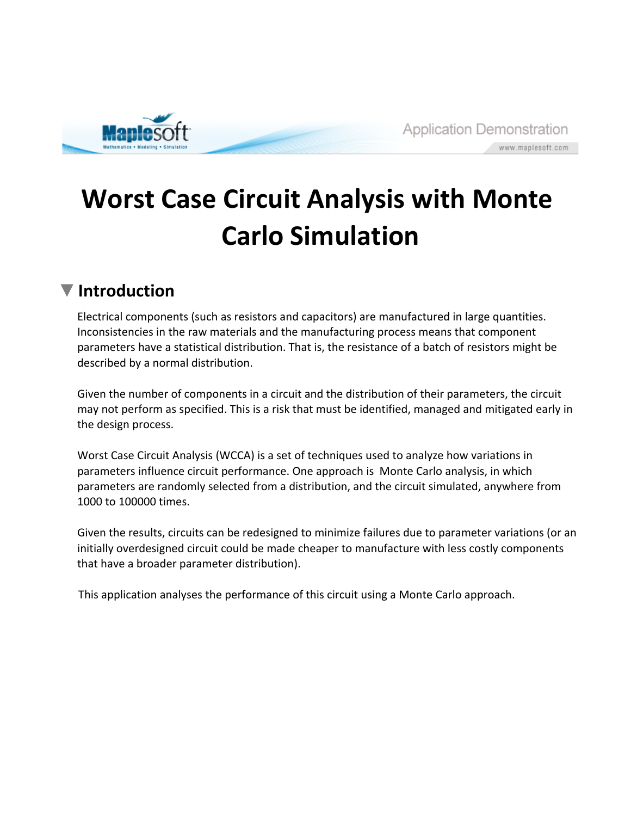

## **Worst Case Circuit Analysis with Monte Carlo Simulation**

## **Introduction**

Electrical components (such as resistors and capacitors) are manufactured in large quantities. Inconsistencies in the raw materials and the manufacturing process means that component parameters have a statistical distribution. That is, the resistance of a batch of resistors might be described by a normal distribution.

Given the number of components in a circuit and the distribution of their parameters, the circuit may not perform as specified. This is a risk that must be identified, managed and mitigated early in the design process.

Worst Case Circuit Analysis (WCCA) is a set of techniques used to analyze how variations in parameters influence circuit performance. One approach is Monte Carlo analysis, in which parameters are randomly selected from a distribution, and the circuit simulated, anywhere from 1000 to 100000 times.

Given the results, circuits can be redesigned to minimize failures due to parameter variations (or an initially overdesigned circuit could be made cheaper to manufacture with less costly components that have a broader parameter distribution).

This application analyses the performance of this circuit using a Monte Carlo approach.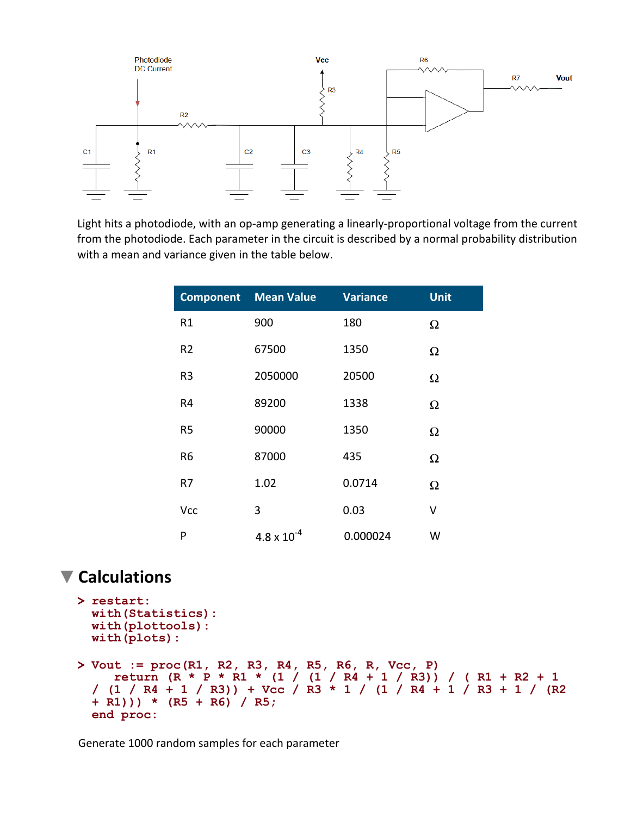

Light hits a photodiode, with an op-amp generating a linearly-proportional voltage from the current from the photodiode. Each parameter in the circuit is described by a normal probability distribution with a mean and variance given in the table below.

| <b>Component</b> | <b>Variance</b><br><b>Mean Value</b> |          | <b>Unit</b> |
|------------------|--------------------------------------|----------|-------------|
| R1               | 900                                  | 180      | Ω           |
| R <sub>2</sub>   | 67500                                | 1350     | $\Omega$    |
| R <sub>3</sub>   | 2050000                              | 20500    | Ω           |
| R4               | 89200                                | 1338     | Ω           |
| R <sub>5</sub>   | 90000                                | 1350     | $\Omega$    |
| R6               | 87000                                | 435      | Ω           |
| R7               | 1.02                                 | 0.0714   | Ω           |
| <b>Vcc</b>       | 3                                    | 0.03     | ٧           |
| P                | $4.8 \times 10^{-4}$                 | 0.000024 | W           |

## **Calculations**

```
> 
restart:
> 
Vout := proc(R1, R2, R3, R4, R5, R6, R, Vcc, P)
 with(Statistics):
 with(plottools):
 with(plots):
     return (R * P * R1 * (1 / (1 / R4 + 1 / R3)) / ( R1 + R2 + 1 
 / (1 / R4 + 1 / R3)) + Vcc / R3 * 1 / (1 / R4 + 1 / R3 + 1 / (R2
 + R1))) * (R5 + R6) / R5;
 end proc:
```
Generate 1000 random samples for each parameter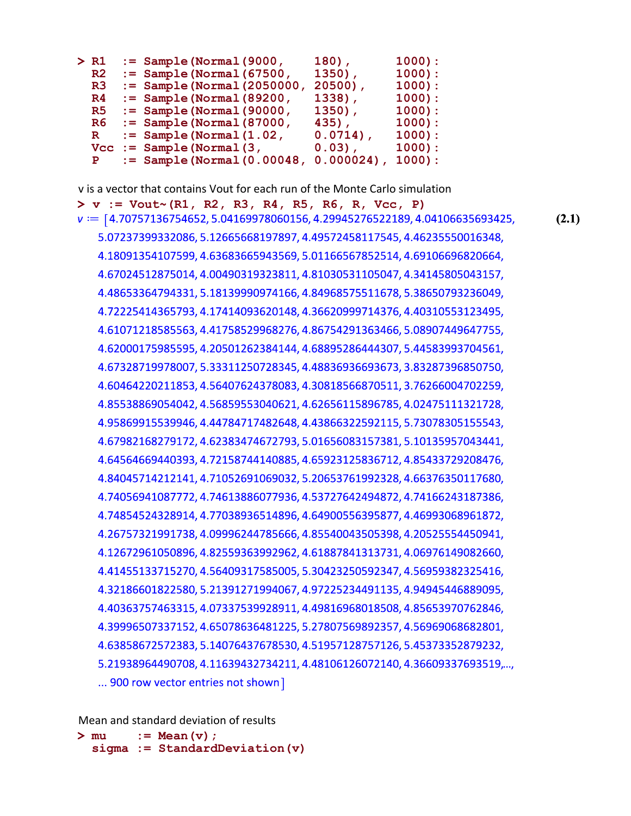| > R1           | $:=$ Sample (Normal (9000,        | $180)$ ,     | $1000$ ): |
|----------------|-----------------------------------|--------------|-----------|
| R <sub>2</sub> | $:=$ Sample (Normal (67500,       | $1350$ ,     | $1000$ ): |
| R <sub>3</sub> | $:=$ Sample (Normal (2050000,     | $20500$ ,    | $1000$ ): |
| R <sub>4</sub> | $:=$ Sample (Normal (89200,       | 1338),       | $1000$ ): |
| R5             | $:=$ Sample (Normal (90000,       | $1350$ ,     | $1000$ ): |
| R6             | $:=$ Sample (Normal (87000,       | 435),        | $1000$ ): |
| $\mathbf R$    | $:=$ Sample (Normal $(1.02)$ ,    | $0.0714$ ,   | $1000$ ): |
| Vcc            | $:=$ Sample (Normal $(3,$         | $0.03)$ ,    | $1000$ ): |
| $\mathbf{P}$   | $:=$ Sample (Normal $(0.00048)$ , | $0.000024$ , | $1000$ :  |
|                |                                   |              |           |

v is a vector that contains Vout for each run of the Monte Carlo simulation

**> v := Vout~(R1, R2, R3, R4, R5, R6, R, Vcc, P)**  $v := [4.70757136754652, 5.04169978060156, 4.29945276522189, 4.04106635693425,$ **(2.1)** 5.07237399332086, 5.12665668197897, 4.49572458117545, 4.46235550016348, 4.18091354107599, 4.63683665943569, 5.01166567852514, 4.69106696820664, 4.67024512875014, 4.00490319323811, 4.81030531105047, 4.34145805043157, 4.48653364794331, 5.18139990974166, 4.84968575511678, 5.38650793236049, 4.72225414365793, 4.17414093620148, 4.36620999714376, 4.40310553123495, 4.61071218585563, 4.41758529968276, 4.86754291363466, 5.08907449647755, 4.62000175985595, 4.20501262384144, 4.68895286444307, 5.44583993704561, 4.67328719978007, 5.33311250728345, 4.48836936693673, 3.83287396850750, 4.60464220211853, 4.56407624378083, 4.30818566870511, 3.76266004702259, 4.85538869054042, 4.56859553040621, 4.62656115896785, 4.02475111321728, 4.95869915539946, 4.44784717482648, 4.43866322592115, 5.73078305155543, 4.67982168279172, 4.62383474672793, 5.01656083157381, 5.10135957043441, 4.64564669440393, 4.72158744140885, 4.65923125836712, 4.85433729208476, 4.84045714212141, 4.71052691069032, 5.20653761992328, 4.66376350117680, 4.74056941087772, 4.74613886077936, 4.53727642494872, 4.74166243187386, 4.74854524328914, 4.77038936514896, 4.64900556395877, 4.46993068961872, 4.26757321991738, 4.09996244785666, 4.85540043505398, 4.20525554450941, 4.12672961050896, 4.82559363992962, 4.61887841313731, 4.06976149082660, 4.41455133715270, 4.56409317585005, 5.30423250592347, 4.56959382325416, 4.32186601822580, 5.21391271994067, 4.97225234491135, 4.94945446889095, 4.40363757463315, 4.07337539928911, 4.49816968018508, 4.85653970762846, 4.39996507337152, 4.65078636481225, 5.27807569892357, 4.56969068682801, 4.63858672572383, 5.14076437678530, 4.51957128757126, 5.45373352879232, 5.21938964490708, 4.11639432734211, 4.48106126072140, 4.36609337693519,..., ... 900 row vector entries not shown]

Mean and standard deviation of results

**> := Mean(v); sigma := StandardDeviation(v)**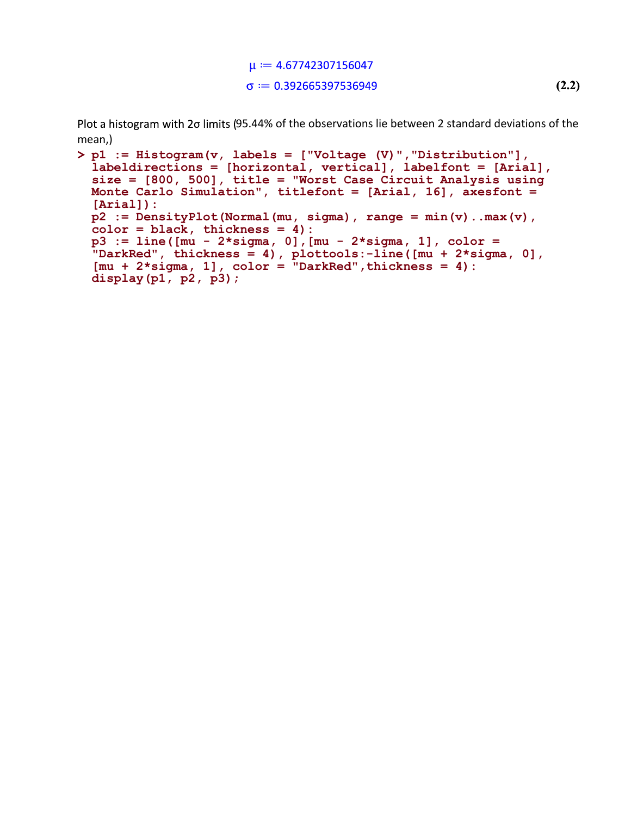$\mu$  = 4.67742307156047  $\sigma = 0.392665397536949$ **(2.2)**

Plot a histogram with 20 limits (95.44% of the observations lie between 2 standard deviations of the mean,)

```
> 
p1 := Histogram(v, labels = ["Voltage (V)","Distribution"], 
 labeldirections = [horizontal, vertical], labelfont = [Arial], 
 size = [800, 500], title = "Worst Case Circuit Analysis using 
 Monte Carlo Simulation", titlefont = [Arial, 16], axesfont = 
 [Arial]):
 p2 := DensityPlot(Normal(mu, sigma), range = min(v)..max(v), 
 color = black, thickness = 4):
 p3 := line([mu - 2*sigma, 0],[mu - 2*sigma, 1], color = 
 "DarkRed", thickness = 4), plottools:-line([mu + 2*sigma, 0], 
 [mu + 2*sigma, 1], color = "DarkRed",thickness = 4):
 display(p1, p2, p3);
```